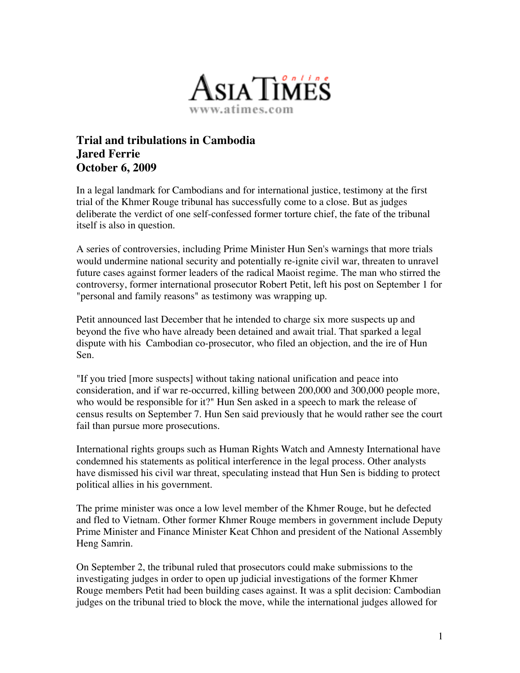

## **Trial and tribulations in Cambodia Jared Ferrie October 6, 2009**

In a legal landmark for Cambodians and for international justice, testimony at the first trial of the Khmer Rouge tribunal has successfully come to a close. But as judges deliberate the verdict of one self-confessed former torture chief, the fate of the tribunal itself is also in question.

A series of controversies, including Prime Minister Hun Sen's warnings that more trials would undermine national security and potentially re-ignite civil war, threaten to unravel future cases against former leaders of the radical Maoist regime. The man who stirred the controversy, former international prosecutor Robert Petit, left his post on September 1 for "personal and family reasons" as testimony was wrapping up.

Petit announced last December that he intended to charge six more suspects up and beyond the five who have already been detained and await trial. That sparked a legal dispute with his Cambodian co-prosecutor, who filed an objection, and the ire of Hun Sen.

"If you tried [more suspects] without taking national unification and peace into consideration, and if war re-occurred, killing between 200,000 and 300,000 people more, who would be responsible for it?" Hun Sen asked in a speech to mark the release of census results on September 7. Hun Sen said previously that he would rather see the court fail than pursue more prosecutions.

International rights groups such as Human Rights Watch and Amnesty International have condemned his statements as political interference in the legal process. Other analysts have dismissed his civil war threat, speculating instead that Hun Sen is bidding to protect political allies in his government.

The prime minister was once a low level member of the Khmer Rouge, but he defected and fled to Vietnam. Other former Khmer Rouge members in government include Deputy Prime Minister and Finance Minister Keat Chhon and president of the National Assembly Heng Samrin.

On September 2, the tribunal ruled that prosecutors could make submissions to the investigating judges in order to open up judicial investigations of the former Khmer Rouge members Petit had been building cases against. It was a split decision: Cambodian judges on the tribunal tried to block the move, while the international judges allowed for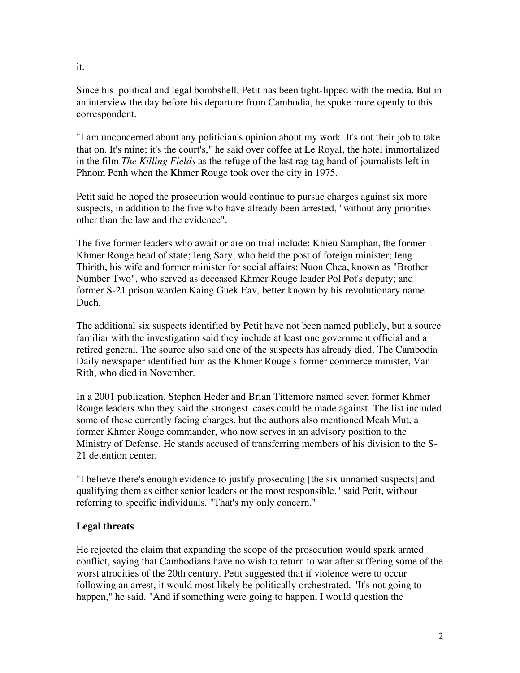Since his political and legal bombshell, Petit has been tight-lipped with the media. But in an interview the day before his departure from Cambodia, he spoke more openly to this correspondent.

"I am unconcerned about any politician's opinion about my work. It's not their job to take that on. It's mine; it's the court's," he said over coffee at Le Royal, the hotel immortalized in the film *The Killing Fields* as the refuge of the last rag-tag band of journalists left in Phnom Penh when the Khmer Rouge took over the city in 1975.

Petit said he hoped the prosecution would continue to pursue charges against six more suspects, in addition to the five who have already been arrested, "without any priorities other than the law and the evidence".

The five former leaders who await or are on trial include: Khieu Samphan, the former Khmer Rouge head of state; Ieng Sary, who held the post of foreign minister; Ieng Thirith, his wife and former minister for social affairs; Nuon Chea, known as "Brother Number Two", who served as deceased Khmer Rouge leader Pol Pot's deputy; and former S-21 prison warden Kaing Guek Eav, better known by his revolutionary name Duch.

The additional six suspects identified by Petit have not been named publicly, but a source familiar with the investigation said they include at least one government official and a retired general. The source also said one of the suspects has already died. The Cambodia Daily newspaper identified him as the Khmer Rouge's former commerce minister, Van Rith, who died in November.

In a 2001 publication, Stephen Heder and Brian Tittemore named seven former Khmer Rouge leaders who they said the strongest cases could be made against. The list included some of these currently facing charges, but the authors also mentioned Meah Mut, a former Khmer Rouge commander, who now serves in an advisory position to the Ministry of Defense. He stands accused of transferring members of his division to the S-21 detention center.

"I believe there's enough evidence to justify prosecuting [the six unnamed suspects] and qualifying them as either senior leaders or the most responsible," said Petit, without referring to specific individuals. "That's my only concern."

## **Legal threats**

He rejected the claim that expanding the scope of the prosecution would spark armed conflict, saying that Cambodians have no wish to return to war after suffering some of the worst atrocities of the 20th century. Petit suggested that if violence were to occur following an arrest, it would most likely be politically orchestrated. "It's not going to happen," he said. "And if something were going to happen, I would question the

it.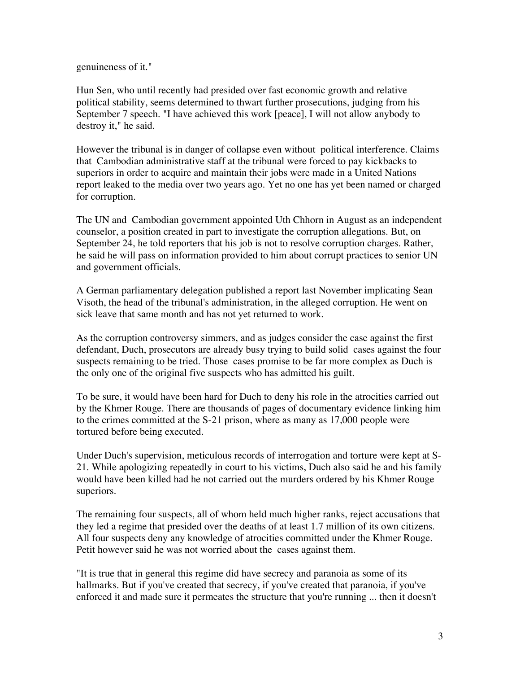genuineness of it."

Hun Sen, who until recently had presided over fast economic growth and relative political stability, seems determined to thwart further prosecutions, judging from his September 7 speech. "I have achieved this work [peace], I will not allow anybody to destroy it," he said.

However the tribunal is in danger of collapse even without political interference. Claims that Cambodian administrative staff at the tribunal were forced to pay kickbacks to superiors in order to acquire and maintain their jobs were made in a United Nations report leaked to the media over two years ago. Yet no one has yet been named or charged for corruption.

The UN and Cambodian government appointed Uth Chhorn in August as an independent counselor, a position created in part to investigate the corruption allegations. But, on September 24, he told reporters that his job is not to resolve corruption charges. Rather, he said he will pass on information provided to him about corrupt practices to senior UN and government officials.

A German parliamentary delegation published a report last November implicating Sean Visoth, the head of the tribunal's administration, in the alleged corruption. He went on sick leave that same month and has not yet returned to work.

As the corruption controversy simmers, and as judges consider the case against the first defendant, Duch, prosecutors are already busy trying to build solid cases against the four suspects remaining to be tried. Those cases promise to be far more complex as Duch is the only one of the original five suspects who has admitted his guilt.

To be sure, it would have been hard for Duch to deny his role in the atrocities carried out by the Khmer Rouge. There are thousands of pages of documentary evidence linking him to the crimes committed at the S-21 prison, where as many as 17,000 people were tortured before being executed.

Under Duch's supervision, meticulous records of interrogation and torture were kept at S-21. While apologizing repeatedly in court to his victims, Duch also said he and his family would have been killed had he not carried out the murders ordered by his Khmer Rouge superiors.

The remaining four suspects, all of whom held much higher ranks, reject accusations that they led a regime that presided over the deaths of at least 1.7 million of its own citizens. All four suspects deny any knowledge of atrocities committed under the Khmer Rouge. Petit however said he was not worried about the cases against them.

"It is true that in general this regime did have secrecy and paranoia as some of its hallmarks. But if you've created that secrecy, if you've created that paranoia, if you've enforced it and made sure it permeates the structure that you're running ... then it doesn't